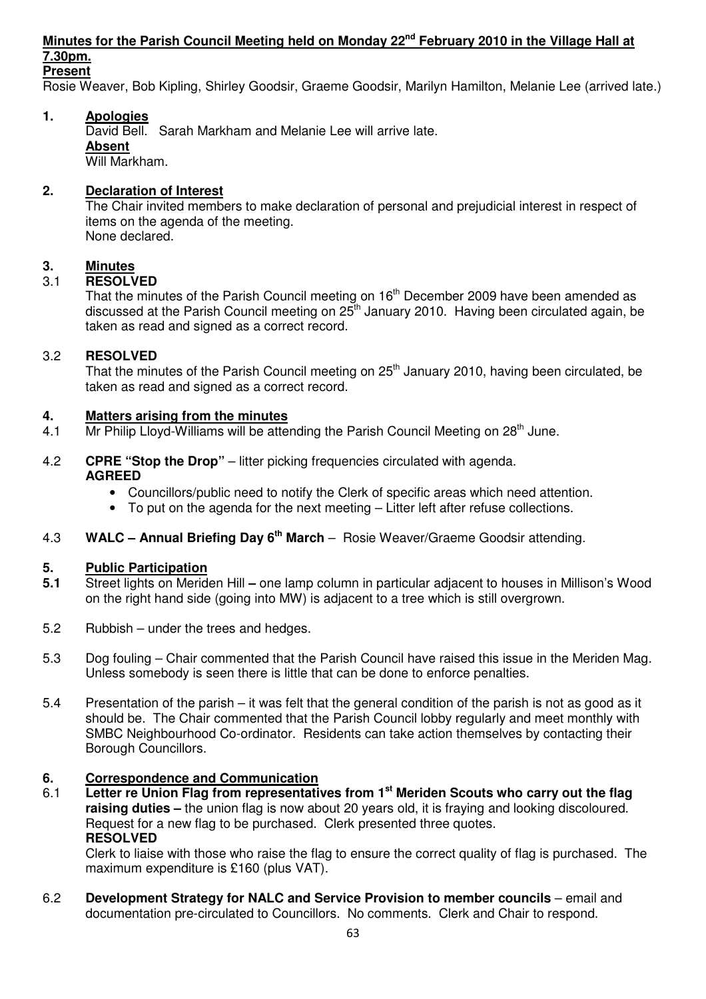## **Minutes for the Parish Council Meeting held on Monday 22nd February 2010 in the Village Hall at 7.30pm.**

**Present**

Rosie Weaver, Bob Kipling, Shirley Goodsir, Graeme Goodsir, Marilyn Hamilton, Melanie Lee (arrived late.)

## **1. Apologies**

David Bell. Sarah Markham and Melanie Lee will arrive late.  **Absent** Will Markham.

## **2. Declaration of Interest**

The Chair invited members to make declaration of personal and prejudicial interest in respect of items on the agenda of the meeting. None declared.

## **3. Minutes**

## 3.1 **RESOLVED**

That the minutes of the Parish Council meeting on 16<sup>th</sup> December 2009 have been amended as discussed at the Parish Council meeting on  $25<sup>th</sup>$  January 2010. Having been circulated again, be taken as read and signed as a correct record.

## 3.2 **RESOLVED**

That the minutes of the Parish Council meeting on  $25<sup>th</sup>$  January 2010, having been circulated, be taken as read and signed as a correct record.

#### **4. Matters arising from the minutes**

- 4.1 Mr Philip Lloyd-Williams will be attending the Parish Council Meeting on  $28<sup>th</sup>$  June.
- 4.2 **CPRE "Stop the Drop"** litter picking frequencies circulated with agenda. **AGREED** 
	- Councillors/public need to notify the Clerk of specific areas which need attention.
	- To put on the agenda for the next meeting Litter left after refuse collections.
- 4.3 **WALC Annual Briefing Day 6th March** Rosie Weaver/Graeme Goodsir attending.

#### **5. Public Participation**

- **5.1** Street lights on Meriden Hill **–** one lamp column in particular adjacent to houses in Millison's Wood on the right hand side (going into MW) is adjacent to a tree which is still overgrown.
- 5.2 Rubbish under the trees and hedges.
- 5.3 Dog fouling Chair commented that the Parish Council have raised this issue in the Meriden Mag. Unless somebody is seen there is little that can be done to enforce penalties.
- 5.4 Presentation of the parish it was felt that the general condition of the parish is not as good as it should be. The Chair commented that the Parish Council lobby regularly and meet monthly with SMBC Neighbourhood Co-ordinator. Residents can take action themselves by contacting their Borough Councillors.

## **6. Correspondence and Communication**

6.1 **Letter re Union Flag from representatives from 1st Meriden Scouts who carry out the flag raising duties –** the union flag is now about 20 years old, it is fraying and looking discoloured. Request for a new flag to be purchased. Clerk presented three quotes. **RESOLVED** 

 Clerk to liaise with those who raise the flag to ensure the correct quality of flag is purchased. The maximum expenditure is £160 (plus VAT).

6.2 **Development Strategy for NALC and Service Provision to member councils** – email and documentation pre-circulated to Councillors. No comments. Clerk and Chair to respond.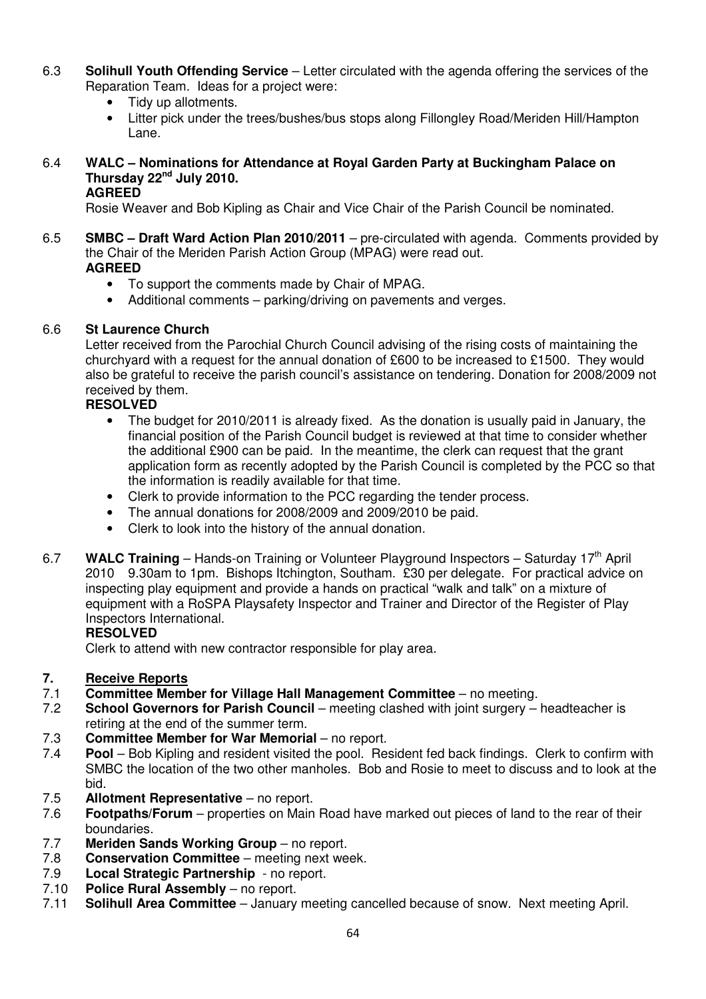- 6.3 **Solihull Youth Offending Service** Letter circulated with the agenda offering the services of the Reparation Team. Ideas for a project were:
	- Tidy up allotments.
	- Litter pick under the trees/bushes/bus stops along Fillongley Road/Meriden Hill/Hampton Lane.

## 6.4 **WALC – Nominations for Attendance at Royal Garden Party at Buckingham Palace on Thursday 22nd July 2010.**

#### **AGREED**

Rosie Weaver and Bob Kipling as Chair and Vice Chair of the Parish Council be nominated.

- 6.5 **SMBC Draft Ward Action Plan 2010/2011** pre-circulated with agenda. Comments provided by the Chair of the Meriden Parish Action Group (MPAG) were read out. **AGREED** 
	- To support the comments made by Chair of MPAG.
	- Additional comments parking/driving on pavements and verges.

#### 6.6 **St Laurence Church**

Letter received from the Parochial Church Council advising of the rising costs of maintaining the churchyard with a request for the annual donation of £600 to be increased to £1500. They would also be grateful to receive the parish council's assistance on tendering. Donation for 2008/2009 not received by them.

#### **RESOLVED**

- The budget for 2010/2011 is already fixed. As the donation is usually paid in January, the financial position of the Parish Council budget is reviewed at that time to consider whether the additional £900 can be paid. In the meantime, the clerk can request that the grant application form as recently adopted by the Parish Council is completed by the PCC so that the information is readily available for that time.
- Clerk to provide information to the PCC regarding the tender process.
- The annual donations for 2008/2009 and 2009/2010 be paid.
- Clerk to look into the history of the annual donation.
- 6.7 **WALC Training** Hands-on Training or Volunteer Playground Inspectors Saturday 17th April 2010 9.30am to 1pm. Bishops Itchington, Southam. £30 per delegate. For practical advice on inspecting play equipment and provide a hands on practical "walk and talk" on a mixture of equipment with a RoSPA Playsafety Inspector and Trainer and Director of the Register of Play Inspectors International.

#### **RESOLVED**

Clerk to attend with new contractor responsible for play area.

# **7. Receive Reports**<br>**7.1** Committee Memb

- 7.1 **Committee Member for Village Hall Management Committee** no meeting.<br>7.2 **School Governors for Parish Council** meeting clashed with joint surgery –
- **School Governors for Parish Council** meeting clashed with joint surgery headteacher is retiring at the end of the summer term.<br>7.3 **Committee Member for War Memoria**
- **Committee Member for War Memorial no report.**
- 7.4 **Pool** Bob Kipling and resident visited the pool. Resident fed back findings. Clerk to confirm with SMBC the location of the two other manholes. Bob and Rosie to meet to discuss and to look at the bid.
- 7.5 **Allotment Representative** no report.
- 7.6 **Footpaths/Forum**  properties on Main Road have marked out pieces of land to the rear of their boundaries.
- 7.7 **Meriden Sands Working Group** no report.
- 7.8 **Conservation Committee**  meeting next week.
- 7.9 **Local Strategic Partnership** no report.<br>7.10 **Police Rural Assembly** no report.
- **Police Rural Assembly** no report.
- 7.11 **Solihull Area Committee**  January meeting cancelled because of snow. Next meeting April.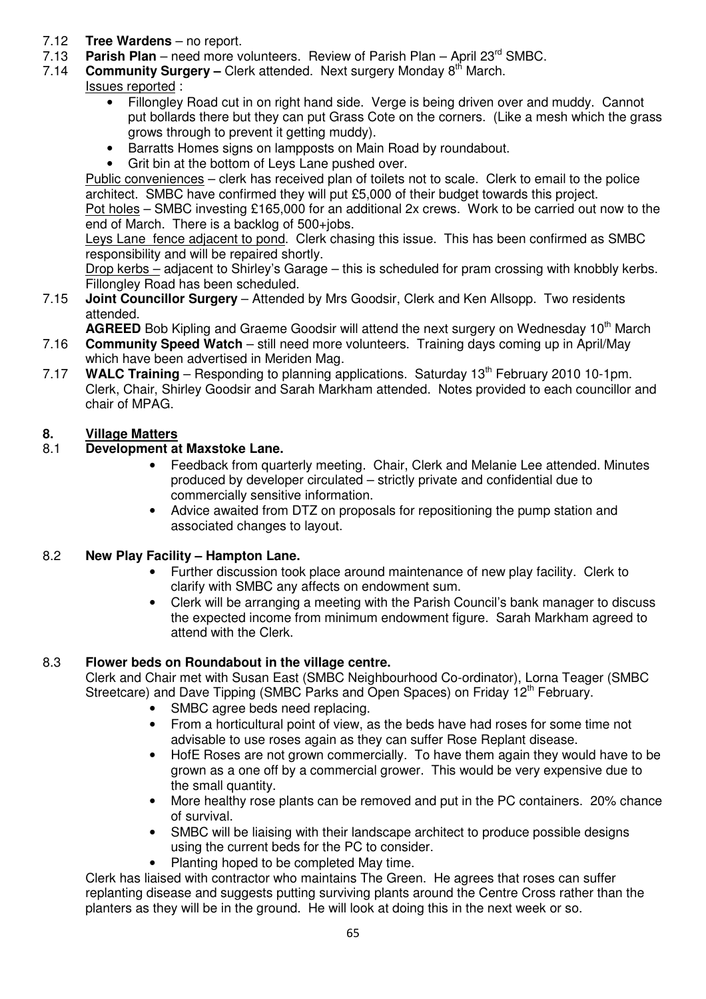- 7.12 **Tree Wardens**  no report.
- 7.13 **Parish Plan** need more volunteers. Review of Parish Plan April 23<sup>rd</sup> SMBC.<br>7.14 **Community Surgery** Clerk attended. Next surgery Monday 8<sup>th</sup> March.
- **Community Surgery –** Clerk attended. Next surgery Monday 8<sup>th</sup> March.
- Issues reported :
	- Fillongley Road cut in on right hand side. Verge is being driven over and muddy. Cannot put bollards there but they can put Grass Cote on the corners. (Like a mesh which the grass grows through to prevent it getting muddy).
	- Barratts Homes signs on lampposts on Main Road by roundabout.
	- Grit bin at the bottom of Leys Lane pushed over.

Public conveniences – clerk has received plan of toilets not to scale. Clerk to email to the police architect. SMBC have confirmed they will put £5,000 of their budget towards this project. Pot holes – SMBC investing £165,000 for an additional 2x crews. Work to be carried out now to the end of March. There is a backlog of 500+jobs.

Leys Lane fence adjacent to pond. Clerk chasing this issue. This has been confirmed as SMBC responsibility and will be repaired shortly.

Drop kerbs – adjacent to Shirley's Garage – this is scheduled for pram crossing with knobbly kerbs. Fillongley Road has been scheduled.

7.15 **Joint Councillor Surgery** – Attended by Mrs Goodsir, Clerk and Ken Allsopp. Two residents attended.

**AGREED** Bob Kipling and Graeme Goodsir will attend the next surgery on Wednesday 10<sup>th</sup> March

- 7.16 **Community Speed Watch** still need more volunteers. Training days coming up in April/May which have been advertised in Meriden Mag.
- 7.17 **WALC Training** Responding to planning applications. Saturday 13<sup>th</sup> February 2010 10-1pm. Clerk, Chair, Shirley Goodsir and Sarah Markham attended. Notes provided to each councillor and chair of MPAG.

# **8.** Village Matters<br>8.1 Development at

## 8.1 **Development at Maxstoke Lane.**

- Feedback from quarterly meeting. Chair, Clerk and Melanie Lee attended. Minutes produced by developer circulated – strictly private and confidential due to commercially sensitive information.
- Advice awaited from DTZ on proposals for repositioning the pump station and associated changes to layout.

## 8.2 **New Play Facility – Hampton Lane.**

- Further discussion took place around maintenance of new play facility. Clerk to clarify with SMBC any affects on endowment sum.
- Clerk will be arranging a meeting with the Parish Council's bank manager to discuss the expected income from minimum endowment figure. Sarah Markham agreed to attend with the Clerk.

## 8.3 **Flower beds on Roundabout in the village centre.**

Clerk and Chair met with Susan East (SMBC Neighbourhood Co-ordinator), Lorna Teager (SMBC Streetcare) and Dave Tipping (SMBC Parks and Open Spaces) on Friday 12<sup>th</sup> February.

- SMBC agree beds need replacing.
- From a horticultural point of view, as the beds have had roses for some time not advisable to use roses again as they can suffer Rose Replant disease.
- HofE Roses are not grown commercially. To have them again they would have to be grown as a one off by a commercial grower. This would be very expensive due to the small quantity.
- More healthy rose plants can be removed and put in the PC containers. 20% chance of survival.
- SMBC will be liaising with their landscape architect to produce possible designs using the current beds for the PC to consider.
- Planting hoped to be completed May time.

Clerk has liaised with contractor who maintains The Green. He agrees that roses can suffer replanting disease and suggests putting surviving plants around the Centre Cross rather than the planters as they will be in the ground. He will look at doing this in the next week or so.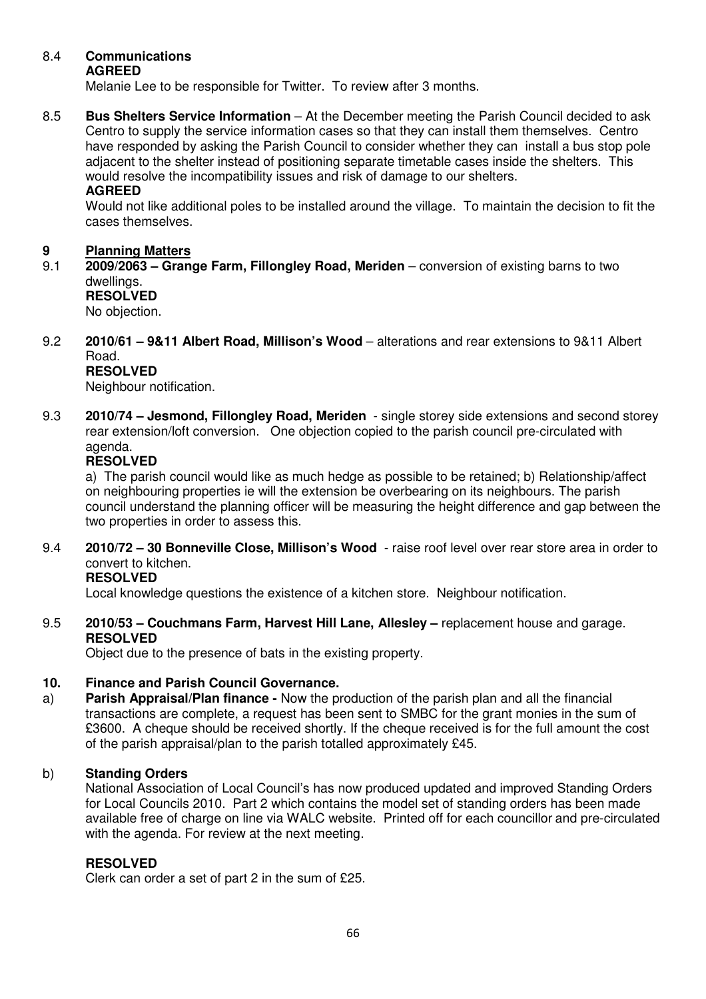#### 8.4 **Communications AGREED**

Melanie Lee to be responsible for Twitter. To review after 3 months.

8.5 **Bus Shelters Service Information** – At the December meeting the Parish Council decided to ask Centro to supply the service information cases so that they can install them themselves. Centro have responded by asking the Parish Council to consider whether they can install a bus stop pole adjacent to the shelter instead of positioning separate timetable cases inside the shelters. This would resolve the incompatibility issues and risk of damage to our shelters.

#### **AGREED**

Would not like additional poles to be installed around the village. To maintain the decision to fit the cases themselves.

## **9 Planning Matters**<br>9.1 **2009/2063 - Gran**

- 9.1 **2009/2063 Grange Farm, Fillongley Road, Meriden**  conversion of existing barns to two dwellings.  **RESOLVED**  No objection.
- 9.2 **2010/61 9&11 Albert Road, Millison's Wood**  alterations and rear extensions to 9&11 Albert Road. **RESOLVED**

Neighbour notification.

9.3 **2010/74 – Jesmond, Fillongley Road, Meriden** - single storey side extensions and second storey rear extension/loft conversion. One objection copied to the parish council pre-circulated with agenda.

#### **RESOLVED**

 a) The parish council would like as much hedge as possible to be retained; b) Relationship/affect on neighbouring properties ie will the extension be overbearing on its neighbours. The parish council understand the planning officer will be measuring the height difference and gap between the two properties in order to assess this.

9.4 **2010/72 – 30 Bonneville Close, Millison's Wood** - raise roof level over rear store area in order to convert to kitchen.

## **RESOLVED**

Local knowledge questions the existence of a kitchen store. Neighbour notification.

9.5 **2010/53 – Couchmans Farm, Harvest Hill Lane, Allesley –** replacement house and garage. **RESOLVED** 

Object due to the presence of bats in the existing property.

#### **10. Finance and Parish Council Governance.**

a) **Parish Appraisal/Plan finance -** Now the production of the parish plan and all the financial transactions are complete, a request has been sent to SMBC for the grant monies in the sum of £3600. A cheque should be received shortly. If the cheque received is for the full amount the cost of the parish appraisal/plan to the parish totalled approximately £45.

#### b) **Standing Orders**

 National Association of Local Council's has now produced updated and improved Standing Orders for Local Councils 2010. Part 2 which contains the model set of standing orders has been made available free of charge on line via WALC website. Printed off for each councillor and pre-circulated with the agenda. For review at the next meeting.

#### **RESOLVED**

Clerk can order a set of part 2 in the sum of £25.